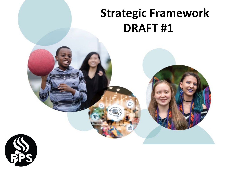# **Strategic Framework DRAFT #1**

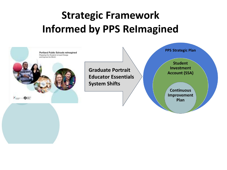# **Strategic Framework Informed by PPS ReImagined**

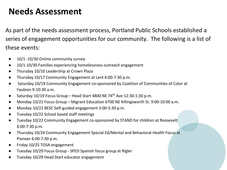### **Needs Assessment**

As part of the needs assessment process, Portland Public Schools established a series of engagement opportunities for our community. The following is a list of these events:

- 10/1 -10/30 Online community survey
- 10/1-10/30 Families experiencing homelessness outreach engagement
- Thursday 10/10 Leadership at Crown Plaza
- Thursday 10/17 Community Engagement at Lent 6:00-7:30 p.m.
- Saturday 10/19 Community Engagement co-sponsored by Coalition of Communities of Color at Faubion 9-10:30 a.m.
- Saturday 10/19 Focus Group Head Start 4800 NE 74<sup>th</sup> Ave 12:30-1:30 p.m.
- Monday 10/21 Focus Group Migrant Education 6700 NE Killingsworth St. 9:00-10:00 a.m.
- Monday 10/21 BESC Self-guided engagement 3:00-5:30 p.m.
- Tuesday 10/22 School based staff meetings
- Tuesday 10/22 Community Engagement co-sponsored by STAND for children at Roosevelt 6:00-7:30 p.m.
- Thursday 10/24 Community Engagement Special Ed/Mental and Behavioral Health Focus at Pioneer 6:00-7:30 p.m.
- Friday 10/25 TOSA engagement
- Tuesday 10/29 Focus Group SPED Spanish focus group at Rigler
- Tuesday 10/29 Head Start educator engagement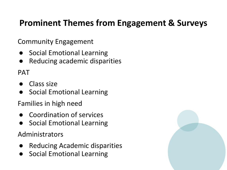## **Prominent Themes from Engagement & Surveys**

Community Engagement

- Social Emotional Learning
- Reducing academic disparities

PAT

- Class size
- Social Emotional Learning

Families in high need

- Coordination of services
- Social Emotional Learning

Administrators

- Reducing Academic disparities
- Social Emotional Learning

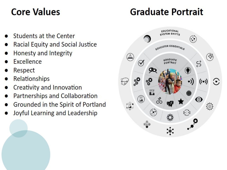# **Core Values**

# **Graduate Portrait**

- Students at the Center
- **Racial Equity and Social Justice**
- Honesty and Integrity
- Excellence
- Respect
- **Relationships**
- Creativity and Innovation
- Partnerships and Collaboration
- Grounded in the Spirit of Portland
- Joyful Learning and Leadership

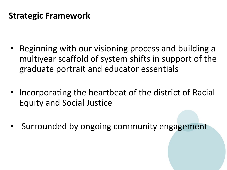### **Strategic Framework**

- Beginning with our visioning process and building a multiyear scaffold of system shifts in support of the graduate portrait and educator essentials
- Incorporating the heartbeat of the district of Racial Equity and Social Justice
- Surrounded by ongoing community engagement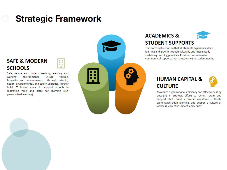### **Strategic Framework**

ana<br>Pana



### **ACADEMICS & STUDENT SUPPORTS**

Transform instruction so that all students experience deep learning and growth through culturally and linguistically sustaining teaching practices. Provide comprehensive continuum of supports that is responsive to student needs.

#### **HUMAN CAPITAL & CULTURE**



Maximize organizational efficiency and effectiveness by engaging in strategic efforts to recruit, retain, and support staff, build a diverse workforce, cultivate systemwide adult learning, and deepen a culture of wellness, collective impact, and equity.

#### **SAFE & MODERN SCHOOLS**

Safe, secure, and modern teaching, learning, and working environments. Ensure flexible. future-focused environments through seismic,, health, environmental, and safety upgrades. Further build IT infrastructure to support schools in redefining time and place for learning (e.g. personalized learning).

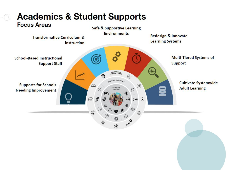

# **Academics & Student Supports**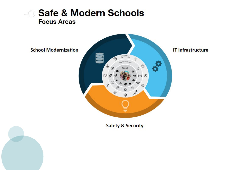

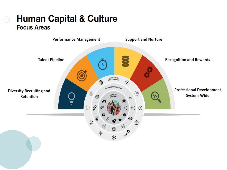### **Human Capital & Culture Focus Areas**

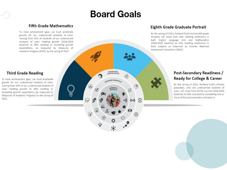# **Board Goals**

#### **Fifth Grade Mathematics**

To close achievement gaps, we must accelerate growth for our underserved students of color, moving from 41% of students of our underserved students of color meeting growth (2018-2019 baseline) to 60% meeting or exceeding growth expectations, as measured by Measures of Academic Progress (MAP), by the spring of 2022.

#### **Third Grade Reading**

To close achievement gaps, we must accelerate growth for our underserved students of color. moving from 44% of our underserved students of color meeting growth to 60% meeting or exceeding growth expectations (as measured by Measures of Academic Progress) by the spring of 2022



#### Eighth Grade Graduate Portrait

By the spring of 2022, Portland Public Schools 8th grade students will move from 44% meeting proficiency in both English Language Arts and Mathematics (2018-2019 baseline) to 51% meeting proficiency in both subjects as measured by Smarter Balanced Assessment Consortium (SBAC).

#### Post-Secondary Readiness / **Ready for College & Career**

By the spring of 2022, Portland Public Schools graduates, who are underserved students of color, will move from 50.3% (current 2018-2019 baseline) to 56% successfully completing one or more of the post-secondary indicators.4